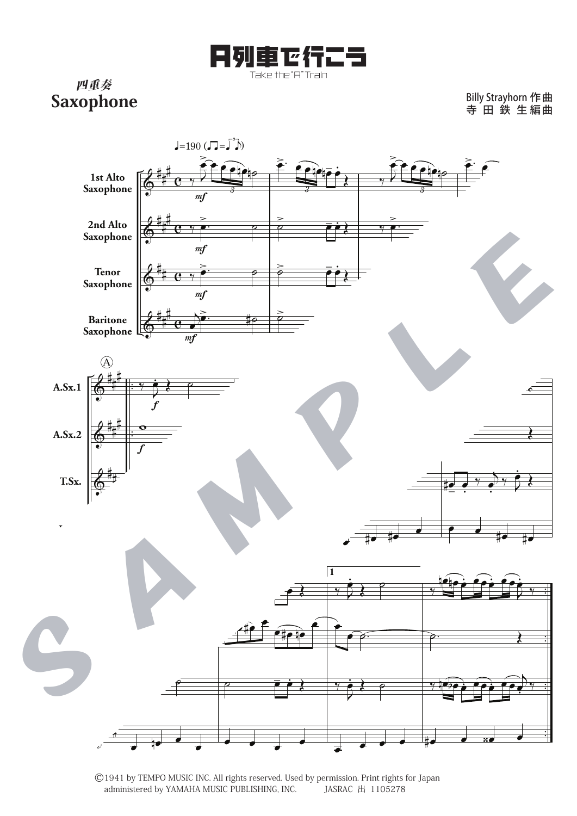

四重奏 Saxophone

Billy Strayhorn 寺 田 鉄 生 作 曲 編 曲



©1941 by TEMPO MUSIC INC. All rights reserved. Used by permission. Print rights for Japan administered by YAMAHA MUSIC PUBLISHING, INC.